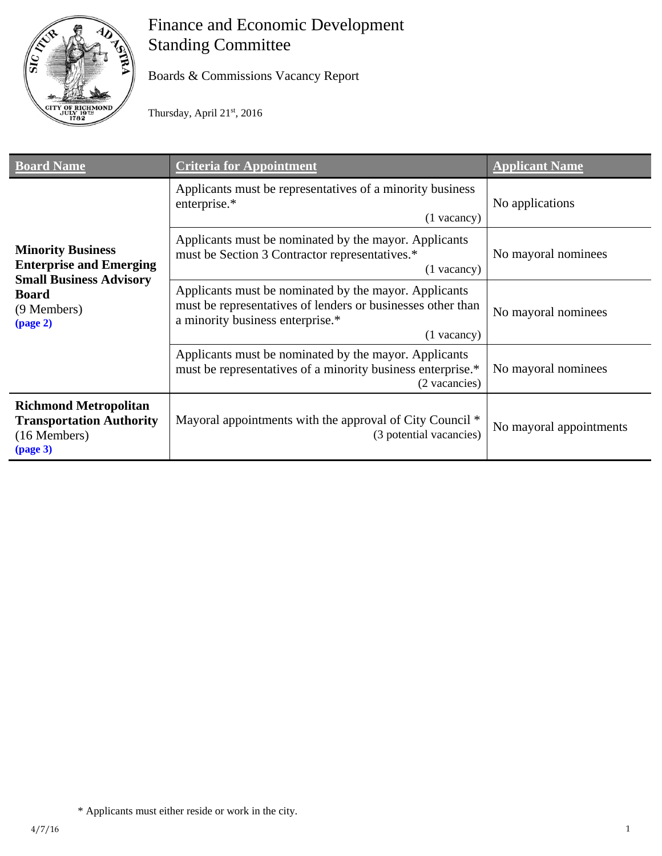

# Finance and Economic Development Standing Committee

Boards & Commissions Vacancy Report

Thursday, April 21st, 2016

| <b>Board Name</b>                                                                                                                                     | <b>Criteria for Appointment</b>                                                                                                                                           | <b>Applicant Name</b>   |
|-------------------------------------------------------------------------------------------------------------------------------------------------------|---------------------------------------------------------------------------------------------------------------------------------------------------------------------------|-------------------------|
| <b>Minority Business</b><br><b>Enterprise and Emerging</b><br><b>Small Business Advisory</b><br><b>Board</b><br>(9 Members)<br>$\frac{1}{2}$ (page 2) | Applicants must be representatives of a minority business<br>enterprise.*<br>$(1$ vacancy)                                                                                | No applications         |
|                                                                                                                                                       | Applicants must be nominated by the mayor. Applicants<br>must be Section 3 Contractor representatives.*<br>$(1$ vacancy)                                                  | No mayoral nominees     |
|                                                                                                                                                       | Applicants must be nominated by the mayor. Applicants<br>must be representatives of lenders or businesses other than<br>a minority business enterprise.*<br>$(1$ vacancy) | No mayoral nominees     |
|                                                                                                                                                       | Applicants must be nominated by the mayor. Applicants<br>must be representatives of a minority business enterprise.*<br>(2 vacancies)                                     | No mayoral nominees     |
| <b>Richmond Metropolitan</b><br><b>Transportation Authority</b><br>(16 Members)<br>$\left(\text{page 3}\right)$                                       | Mayoral appointments with the approval of City Council *<br>(3 potential vacancies)                                                                                       | No mayoral appointments |

<sup>\*</sup> Applicants must either reside or work in the city.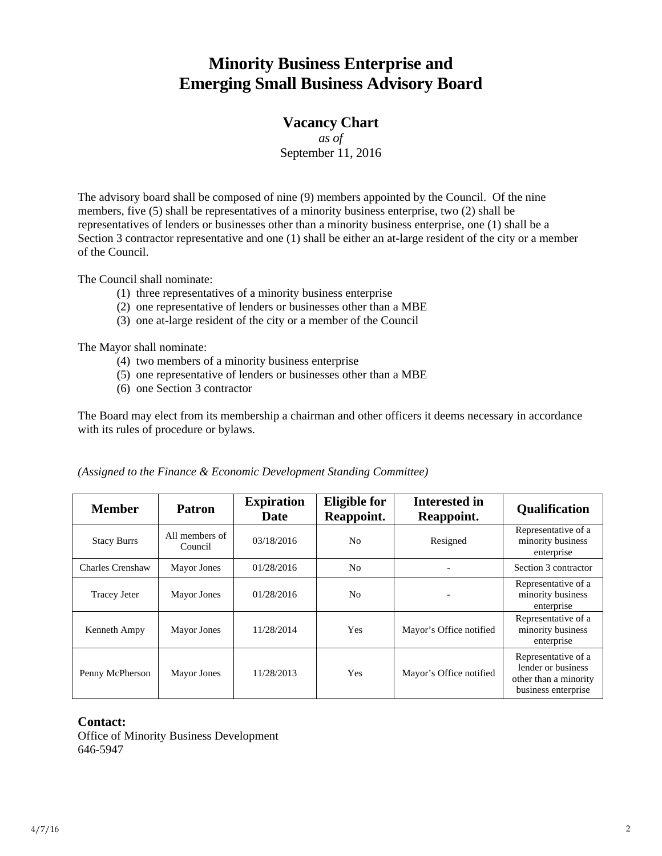## **Minority Business Enterprise and Emerging Small Business Advisory Board**

### **Vacancy Chart**

*as of*  September 11, 2016

The advisory board shall be composed of nine (9) members appointed by the Council. Of the nine members, five (5) shall be representatives of a minority business enterprise, two (2) shall be representatives of lenders or businesses other than a minority business enterprise, one (1) shall be a Section 3 contractor representative and one (1) shall be either an at-large resident of the city or a member of the Council.

The Council shall nominate:

- (1) three representatives of a minority business enterprise
- (2) one representative of lenders or businesses other than a MBE
- (3) one at-large resident of the city or a member of the Council

The Mayor shall nominate:

- (4) two members of a minority business enterprise
- (5) one representative of lenders or businesses other than a MBE
- (6) one Section 3 contractor

The Board may elect from its membership a chairman and other officers it deems necessary in accordance with its rules of procedure or bylaws.

| <b>Member</b>           | <b>Patron</b>             | <b>Expiration</b><br><b>Date</b> | <b>Eligible for</b><br>Reappoint. | <b>Interested in</b><br>Reappoint. | <b>Qualification</b>                                                                      |
|-------------------------|---------------------------|----------------------------------|-----------------------------------|------------------------------------|-------------------------------------------------------------------------------------------|
| <b>Stacy Burrs</b>      | All members of<br>Council | 03/18/2016                       | N <sub>0</sub>                    | Resigned                           | Representative of a<br>minority business<br>enterprise                                    |
| <b>Charles Crenshaw</b> | Mayor Jones               | 01/28/2016                       | N <sub>o</sub>                    |                                    | Section 3 contractor                                                                      |
| <b>Tracey Jeter</b>     | <b>Mayor Jones</b>        | 01/28/2016                       | No                                |                                    | Representative of a<br>minority business<br>enterprise                                    |
| Kenneth Ampy            | Mayor Jones               | 11/28/2014                       | <b>Yes</b>                        | Mayor's Office notified            | Representative of a<br>minority business<br>enterprise                                    |
| Penny McPherson         | Mayor Jones               | 11/28/2013                       | <b>Yes</b>                        | Mayor's Office notified            | Representative of a<br>lender or business<br>other than a minority<br>business enterprise |

*(Assigned to the Finance & Economic Development Standing Committee)* 

#### **Contact:**

Office of Minority Business Development 646-5947